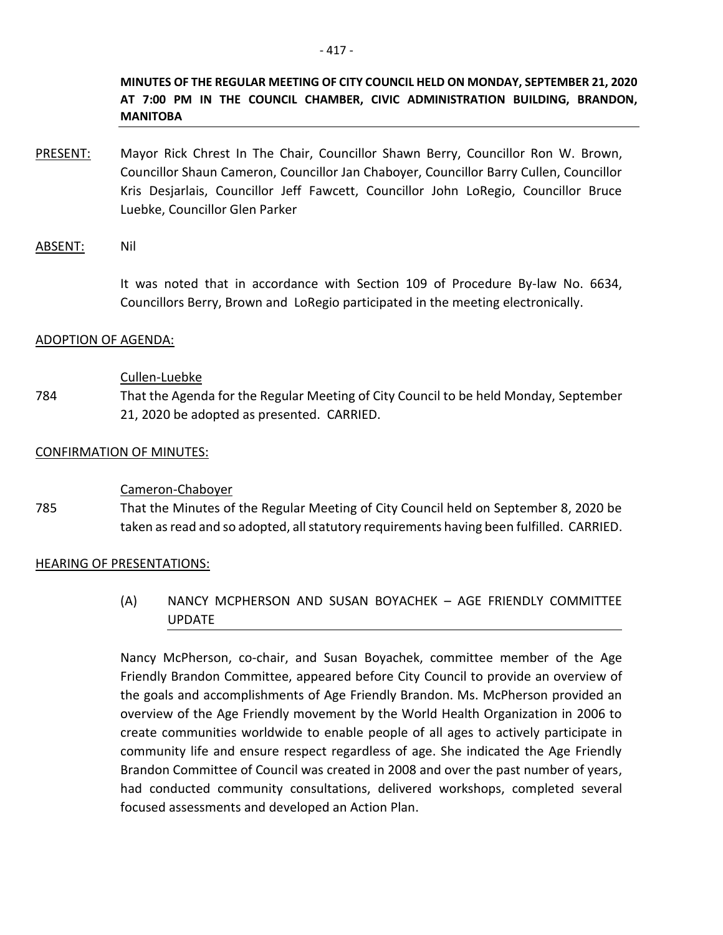**MINUTES OF THE REGULAR MEETING OF CITY COUNCIL HELD ON MONDAY, SEPTEMBER 21, 2020 AT 7:00 PM IN THE COUNCIL CHAMBER, CIVIC ADMINISTRATION BUILDING, BRANDON, MANITOBA**

PRESENT: Mayor Rick Chrest In The Chair, Councillor Shawn Berry, Councillor Ron W. Brown, Councillor Shaun Cameron, Councillor Jan Chaboyer, Councillor Barry Cullen, Councillor Kris Desjarlais, Councillor Jeff Fawcett, Councillor John LoRegio, Councillor Bruce Luebke, Councillor Glen Parker

### ABSENT: Nil

It was noted that in accordance with Section 109 of Procedure By-law No. 6634, Councillors Berry, Brown and LoRegio participated in the meeting electronically.

### ADOPTION OF AGENDA:

#### Cullen-Luebke

784 That the Agenda for the Regular Meeting of City Council to be held Monday, September 21, 2020 be adopted as presented. CARRIED.

#### CONFIRMATION OF MINUTES:

### Cameron-Chaboyer

785 That the Minutes of the Regular Meeting of City Council held on September 8, 2020 be taken as read and so adopted, all statutory requirements having been fulfilled. CARRIED.

#### HEARING OF PRESENTATIONS:

(A) NANCY MCPHERSON AND SUSAN BOYACHEK – AGE FRIENDLY COMMITTEE UPDATE

Nancy McPherson, co-chair, and Susan Boyachek, committee member of the Age Friendly Brandon Committee, appeared before City Council to provide an overview of the goals and accomplishments of Age Friendly Brandon. Ms. McPherson provided an overview of the Age Friendly movement by the World Health Organization in 2006 to create communities worldwide to enable people of all ages to actively participate in community life and ensure respect regardless of age. She indicated the Age Friendly Brandon Committee of Council was created in 2008 and over the past number of years, had conducted community consultations, delivered workshops, completed several focused assessments and developed an Action Plan.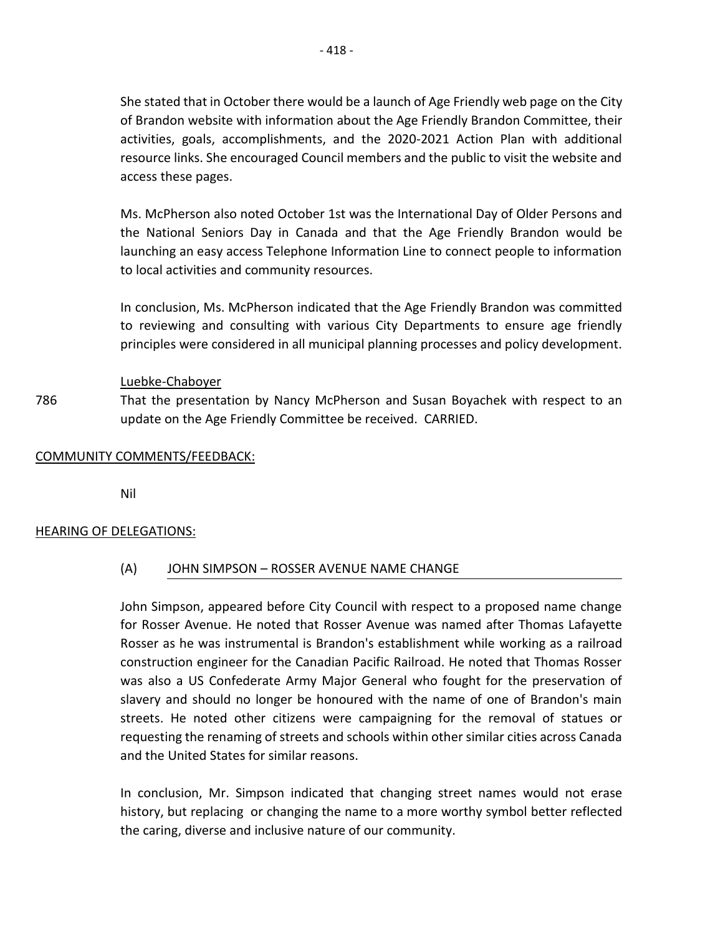She stated that in October there would be a launch of Age Friendly web page on the City of Brandon website with information about the Age Friendly Brandon Committee, their activities, goals, accomplishments, and the 2020-2021 Action Plan with additional resource links. She encouraged Council members and the public to visit the website and access these pages.

Ms. McPherson also noted October 1st was the International Day of Older Persons and the National Seniors Day in Canada and that the Age Friendly Brandon would be launching an easy access Telephone Information Line to connect people to information to local activities and community resources.

In conclusion, Ms. McPherson indicated that the Age Friendly Brandon was committed to reviewing and consulting with various City Departments to ensure age friendly principles were considered in all municipal planning processes and policy development.

## Luebke-Chaboyer

786 That the presentation by Nancy McPherson and Susan Boyachek with respect to an update on the Age Friendly Committee be received. CARRIED.

### COMMUNITY COMMENTS/FEEDBACK:

Nil

### HEARING OF DELEGATIONS:

## (A) JOHN SIMPSON – ROSSER AVENUE NAME CHANGE

John Simpson, appeared before City Council with respect to a proposed name change for Rosser Avenue. He noted that Rosser Avenue was named after Thomas Lafayette Rosser as he was instrumental is Brandon's establishment while working as a railroad construction engineer for the Canadian Pacific Railroad. He noted that Thomas Rosser was also a US Confederate Army Major General who fought for the preservation of slavery and should no longer be honoured with the name of one of Brandon's main streets. He noted other citizens were campaigning for the removal of statues or requesting the renaming of streets and schools within other similar cities across Canada and the United States for similar reasons.

In conclusion, Mr. Simpson indicated that changing street names would not erase history, but replacing or changing the name to a more worthy symbol better reflected the caring, diverse and inclusive nature of our community.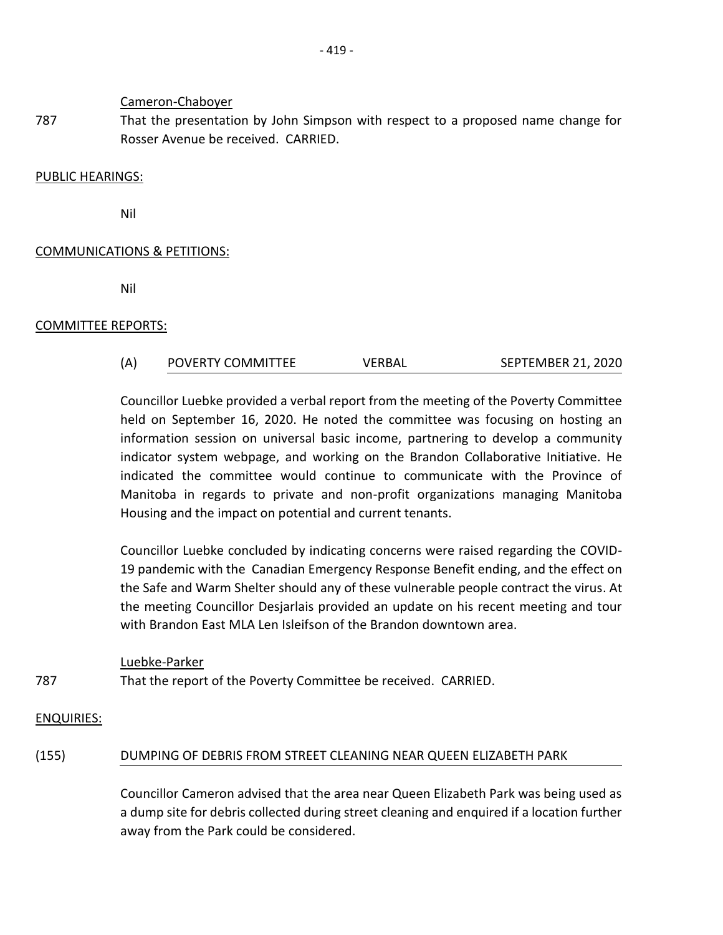Cameron-Chaboyer

787 That the presentation by John Simpson with respect to a proposed name change for Rosser Avenue be received. CARRIED.

### PUBLIC HEARINGS:

Nil

## COMMUNICATIONS & PETITIONS:

Nil

## COMMITTEE REPORTS:

(A) POVERTY COMMITTEE VERBAL SEPTEMBER 21, 2020

Councillor Luebke provided a verbal report from the meeting of the Poverty Committee held on September 16, 2020. He noted the committee was focusing on hosting an information session on universal basic income, partnering to develop a community indicator system webpage, and working on the Brandon Collaborative Initiative. He indicated the committee would continue to communicate with the Province of Manitoba in regards to private and non-profit organizations managing Manitoba Housing and the impact on potential and current tenants.

Councillor Luebke concluded by indicating concerns were raised regarding the COVID-19 pandemic with the Canadian Emergency Response Benefit ending, and the effect on the Safe and Warm Shelter should any of these vulnerable people contract the virus. At the meeting Councillor Desjarlais provided an update on his recent meeting and tour with Brandon East MLA Len Isleifson of the Brandon downtown area.

787 Luebke-Parker That the report of the Poverty Committee be received. CARRIED.

### ENQUIRIES:

## (155) DUMPING OF DEBRIS FROM STREET CLEANING NEAR QUEEN ELIZABETH PARK

Councillor Cameron advised that the area near Queen Elizabeth Park was being used as a dump site for debris collected during street cleaning and enquired if a location further away from the Park could be considered.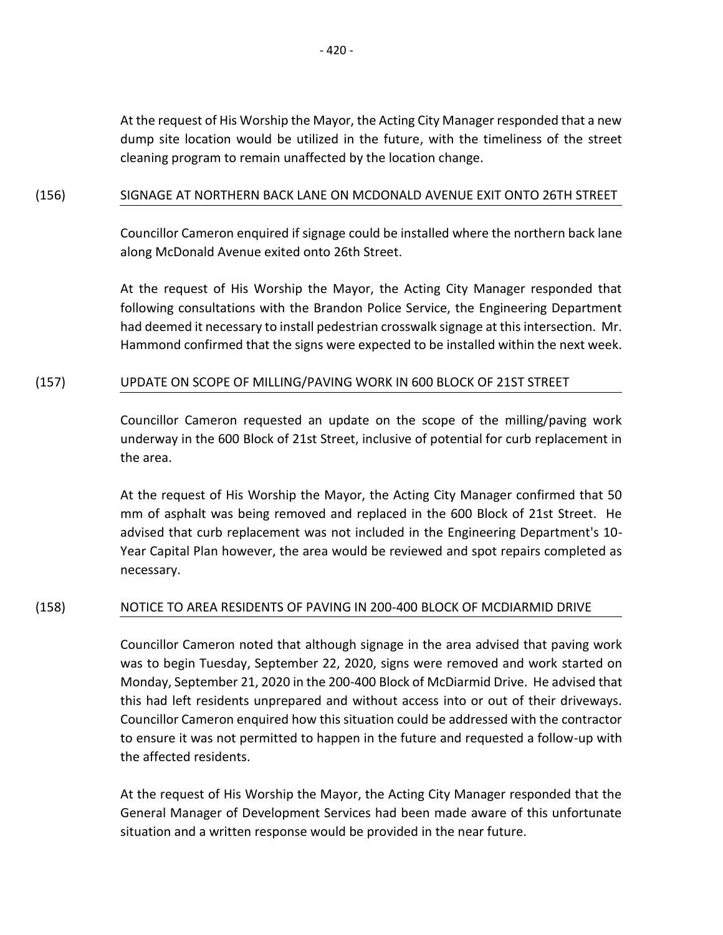## (156) SIGNAGE AT NORTHERN BACK LANE ON MCDONALD AVENUE EXIT ONTO 26TH STREET

Councillor Cameron enquired if signage could be installed where the northern back lane along McDonald Avenue exited onto 26th Street.

At the request of His Worship the Mayor, the Acting City Manager responded that following consultations with the Brandon Police Service, the Engineering Department had deemed it necessary to install pedestrian crosswalk signage at this intersection. Mr. Hammond confirmed that the signs were expected to be installed within the next week.

## (157) UPDATE ON SCOPE OF MILLING/PAVING WORK IN 600 BLOCK OF 21ST STREET

Councillor Cameron requested an update on the scope of the milling/paving work underway in the 600 Block of 21st Street, inclusive of potential for curb replacement in the area.

At the request of His Worship the Mayor, the Acting City Manager confirmed that 50 mm of asphalt was being removed and replaced in the 600 Block of 21st Street. He advised that curb replacement was not included in the Engineering Department's 10- Year Capital Plan however, the area would be reviewed and spot repairs completed as necessary.

# (158) NOTICE TO AREA RESIDENTS OF PAVING IN 200-400 BLOCK OF MCDIARMID DRIVE

Councillor Cameron noted that although signage in the area advised that paving work was to begin Tuesday, September 22, 2020, signs were removed and work started on Monday, September 21, 2020 in the 200-400 Block of McDiarmid Drive. He advised that this had left residents unprepared and without access into or out of their driveways. Councillor Cameron enquired how this situation could be addressed with the contractor to ensure it was not permitted to happen in the future and requested a follow-up with the affected residents.

At the request of His Worship the Mayor, the Acting City Manager responded that the General Manager of Development Services had been made aware of this unfortunate situation and a written response would be provided in the near future.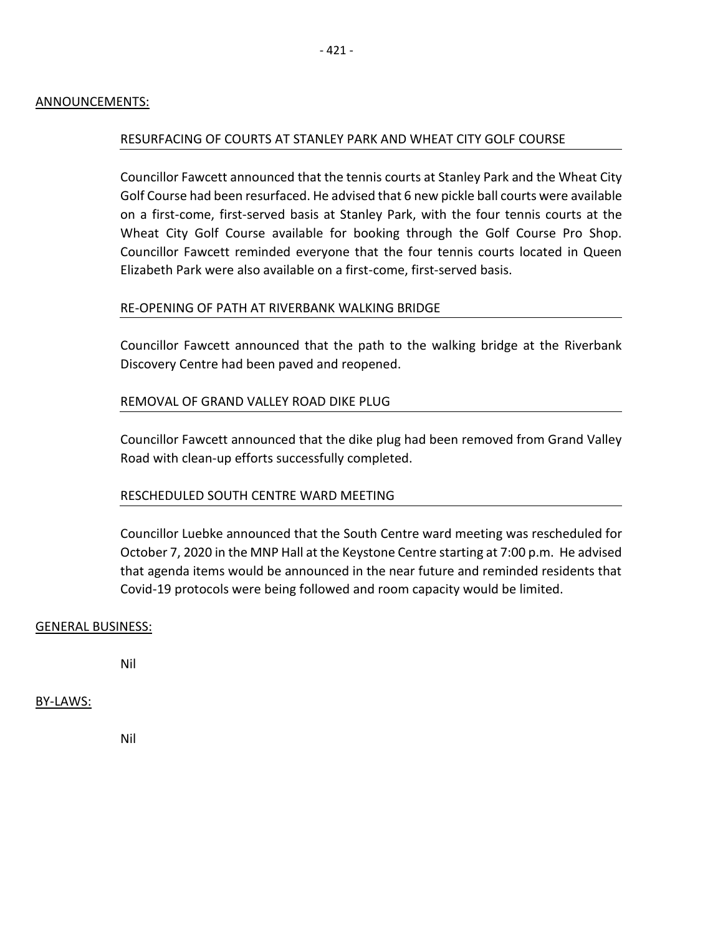### ANNOUNCEMENTS:

### RESURFACING OF COURTS AT STANLEY PARK AND WHEAT CITY GOLF COURSE

Councillor Fawcett announced that the tennis courts at Stanley Park and the Wheat City Golf Course had been resurfaced. He advised that 6 new pickle ball courts were available on a first-come, first-served basis at Stanley Park, with the four tennis courts at the Wheat City Golf Course available for booking through the Golf Course Pro Shop. Councillor Fawcett reminded everyone that the four tennis courts located in Queen Elizabeth Park were also available on a first-come, first-served basis.

### RE-OPENING OF PATH AT RIVERBANK WALKING BRIDGE

Councillor Fawcett announced that the path to the walking bridge at the Riverbank Discovery Centre had been paved and reopened.

## REMOVAL OF GRAND VALLEY ROAD DIKE PLUG

Councillor Fawcett announced that the dike plug had been removed from Grand Valley Road with clean-up efforts successfully completed.

### RESCHEDULED SOUTH CENTRE WARD MEETING

Councillor Luebke announced that the South Centre ward meeting was rescheduled for October 7, 2020 in the MNP Hall at the Keystone Centre starting at 7:00 p.m. He advised that agenda items would be announced in the near future and reminded residents that Covid-19 protocols were being followed and room capacity would be limited.

### GENERAL BUSINESS:

Nil

### BY-LAWS:

Nil